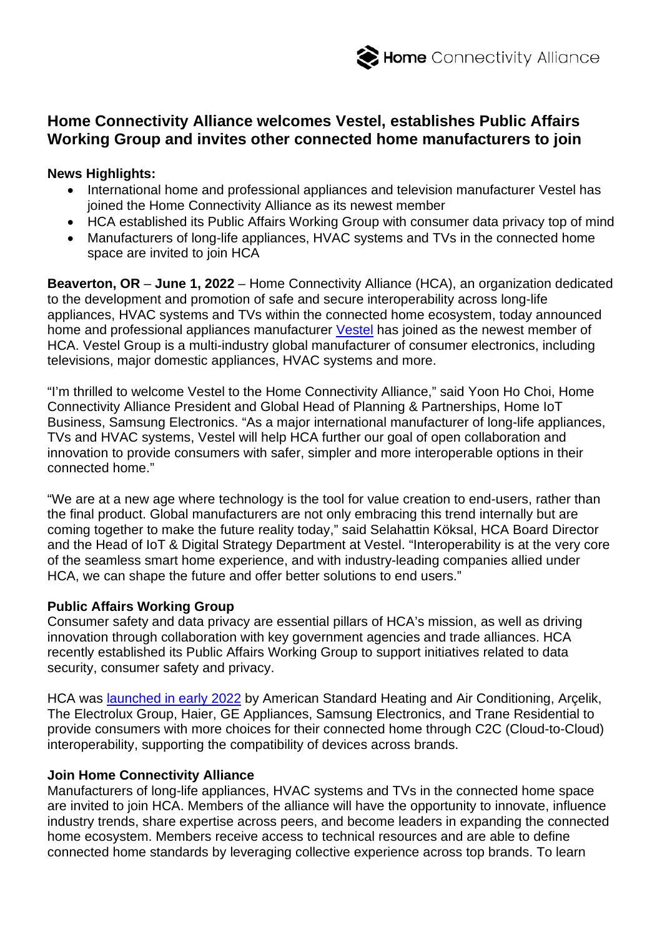# **Home Connectivity Alliance welcomes Vestel, establishes Public Affairs Working Group and invites other connected home manufacturers to join**

## **News Highlights:**

- International home and professional appliances and television manufacturer Vestel has joined the Home Connectivity Alliance as its newest member
- HCA established its Public Affairs Working Group with consumer data privacy top of mind
- Manufacturers of long-life appliances, HVAC systems and TVs in the connected home space are invited to join HCA

**Beaverton, OR** – **June 1, 2022** – Home Connectivity Alliance (HCA), an organization dedicated to the development and promotion of safe and secure interoperability across long-life appliances, HVAC systems and TVs within the connected home ecosystem, today announced home and professional appliances manufacturer [Vestel](https://vestelinternational.com/) has joined as the newest member of HCA. Vestel Group is a multi-industry global manufacturer of consumer electronics, including televisions, major domestic appliances, HVAC systems and more.

"I'm thrilled to welcome Vestel to the Home Connectivity Alliance," said Yoon Ho Choi, Home Connectivity Alliance President and Global Head of Planning & Partnerships, Home IoT Business, Samsung Electronics. "As a major international manufacturer of long-life appliances, TVs and HVAC systems, Vestel will help HCA further our goal of open collaboration and innovation to provide consumers with safer, simpler and more interoperable options in their connected home."

"We are at a new age where technology is the tool for value creation to end-users, rather than the final product. Global manufacturers are not only embracing this trend internally but are coming together to make the future reality today," said Selahattin Köksal, HCA Board Director and the Head of IoT & Digital Strategy Department at Vestel. "Interoperability is at the very core of the seamless smart home experience, and with industry-leading companies allied under HCA, we can shape the future and offer better solutions to end users."

## **Public Affairs Working Group**

Consumer safety and data privacy are essential pillars of HCA's mission, as well as driving innovation through collaboration with key government agencies and trade alliances. HCA recently established its Public Affairs Working Group to support initiatives related to data security, consumer safety and privacy.

HCA was [launched in early](https://homeconnectivityalliance.org/wp-content/uploads/2022/01/HCA-Launch-Press-Release_FINAL_approved-to-release-Jan-4-at-630pm-PT_FINAL_website-and-wire.pdf) 2022 by American Standard Heating and Air Conditioning, Arcelik, The Electrolux Group, Haier, GE Appliances, Samsung Electronics, and Trane Residential to provide consumers with more choices for their connected home through C2C (Cloud-to-Cloud) interoperability, supporting the compatibility of devices across brands.

## **Join Home Connectivity Alliance**

Manufacturers of long-life appliances, HVAC systems and TVs in the connected home space are invited to join HCA. Members of the alliance will have the opportunity to innovate, influence industry trends, share expertise across peers, and become leaders in expanding the connected home ecosystem. Members receive access to technical resources and are able to define connected home standards by leveraging collective experience across top brands. To learn